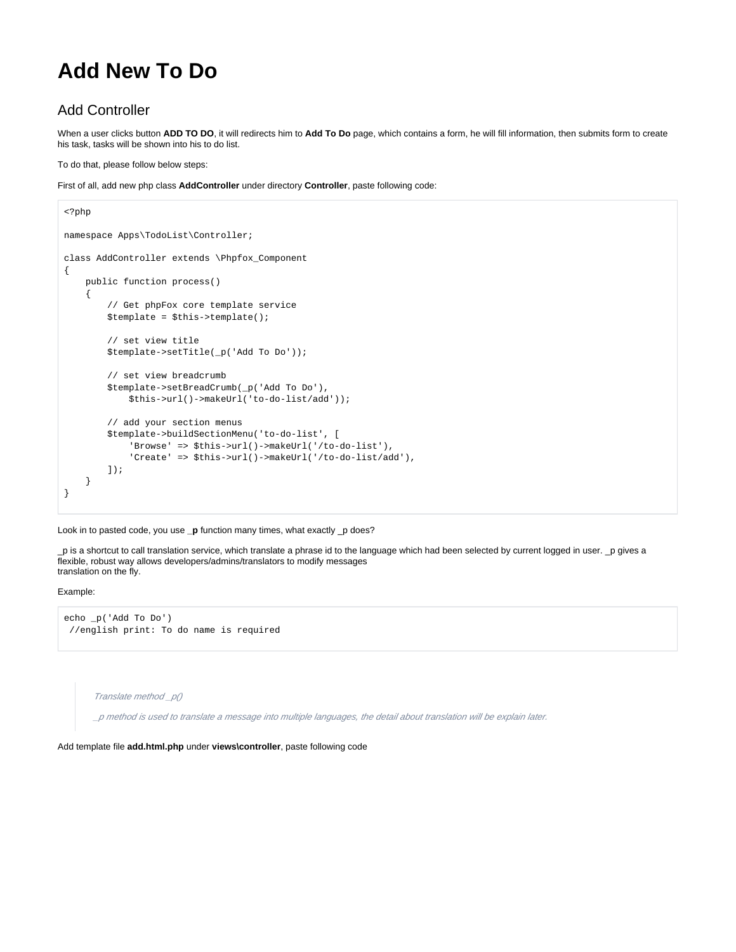# **Add New To Do**

# Add Controller

When a user clicks button **ADD TO DO**, it will redirects him to **Add To Do** page, which contains a form, he will fill information, then submits form to create his task, tasks will be shown into his to do list.

To do that, please follow below steps:

First of all, add new php class **AddController** under directory **Controller**, paste following code:

```
<?php
namespace Apps\TodoList\Controller;
class AddController extends \Phpfox_Component
{
     public function process()
     {
         // Get phpFox core template service
         $template = $this->template();
         // set view title
         $template->setTitle(_p('Add To Do'));
         // set view breadcrumb
         $template->setBreadCrumb(_p('Add To Do'),
             $this->url()->makeUrl('to-do-list/add'));
         // add your section menus
         $template->buildSectionMenu('to-do-list', [
             'Browse' => $this->url()->makeUrl('/to-do-list'),
             'Create' => $this->url()->makeUrl('/to-do-list/add'),
         ]);
     }
}
```
Look in to pasted code, you use **\_p** function many times, what exactly \_p does?

\_p is a shortcut to call translation service, which translate a phrase id to the language which had been selected by current logged in user. \_p gives a flexible, robust way allows developers/admins/translators to modify messages translation on the fly.

#### Example:

```
echo _p('Add To Do') 
 //english print: To do name is required
```
Translate method \_p()

\_p method is used to translate a message into multiple languages, the detail about translation will be explain later.

Add template file **add.html.php** under **views\controller**, paste following code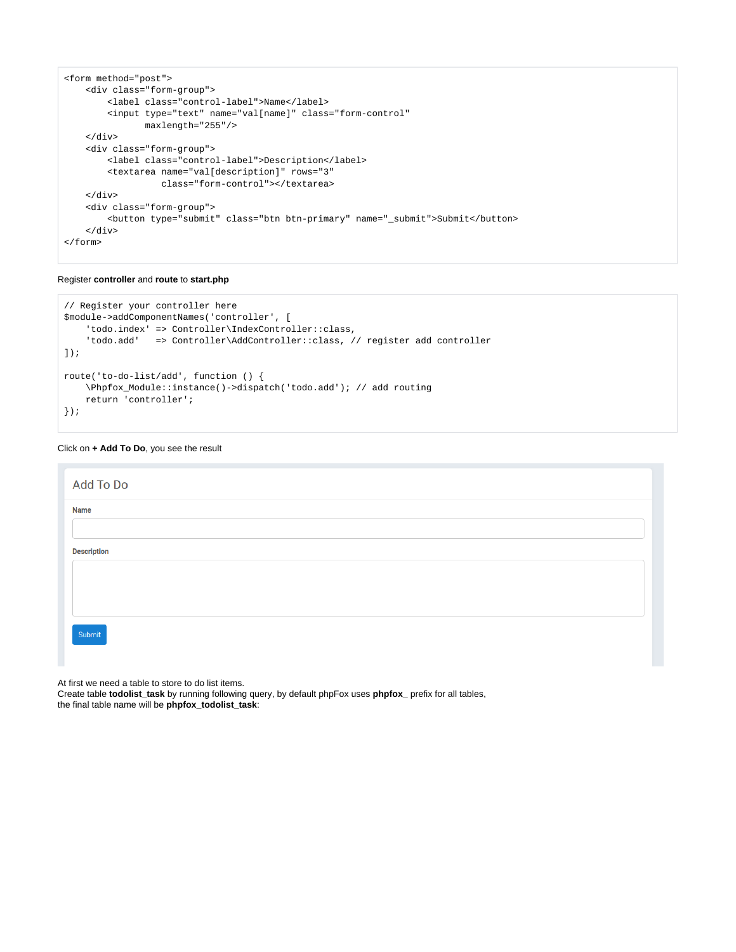```
<form method="post">
    <div class="form-group">
         <label class="control-label">Name</label>
         <input type="text" name="val[name]" class="form-control"
                maxlength="255"/>
     </div>
     <div class="form-group">
         <label class="control-label">Description</label>
         <textarea name="val[description]" rows="3"
                   class="form-control"></textarea>
     </div>
     <div class="form-group">
         <button type="submit" class="btn btn-primary" name="_submit">Submit</button>
    \langlediv></form>
```
### Register **controller** and **route** to **start.php**

```
// Register your controller here
$module->addComponentNames('controller', [
     'todo.index' => Controller\IndexController::class,
     'todo.add' => Controller\AddController::class, // register add controller
]);
route('to-do-list/add', function () {
     \Phpfox_Module::instance()->dispatch('todo.add'); // add routing
     return 'controller';
});
```
## Click on **+ Add To Do**, you see the result

| Add To Do          |  |
|--------------------|--|
| <b>Name</b>        |  |
|                    |  |
| <b>Description</b> |  |
|                    |  |
|                    |  |
|                    |  |
| Submit             |  |
|                    |  |

At first we need a table to store to do list items.

Create table **todolist\_task** by running following query, by default phpFox uses **phpfox\_** prefix for all tables, the final table name will be **phpfox\_todolist\_task**: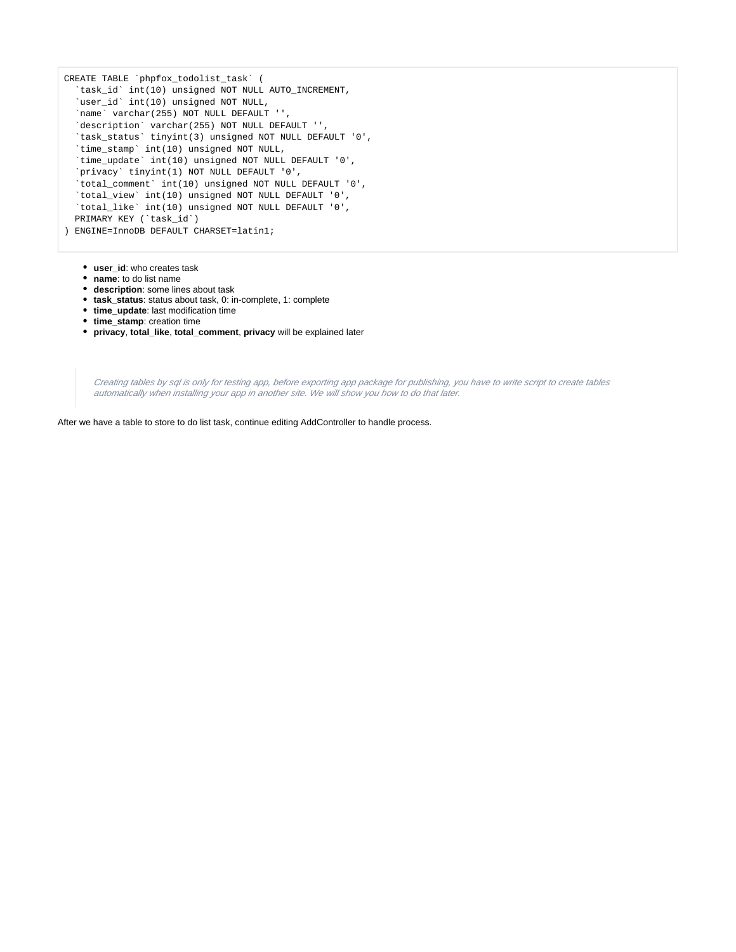```
CREATE TABLE `phpfox_todolist_task` (
   `task_id` int(10) unsigned NOT NULL AUTO_INCREMENT,
   `user_id` int(10) unsigned NOT NULL,
   `name` varchar(255) NOT NULL DEFAULT '',
  `description` varchar(255) NOT NULL DEFAULT '',
  `task_status` tinyint(3) unsigned NOT NULL DEFAULT '0',
  `time_stamp` int(10) unsigned NOT NULL,
   `time_update` int(10) unsigned NOT NULL DEFAULT '0',
   `privacy` tinyint(1) NOT NULL DEFAULT '0',
   `total_comment` int(10) unsigned NOT NULL DEFAULT '0',
   `total_view` int(10) unsigned NOT NULL DEFAULT '0',
  `total_like` int(10) unsigned NOT NULL DEFAULT '0',
  PRIMARY KEY (`task_id`)
) ENGINE=InnoDB DEFAULT CHARSET=latin1;
```
- **user\_id**: who creates task
- **name**: to do list name
- **description**: some lines about task
- **task\_status**: status about task, 0: in-complete, 1: complete
- **time\_update**: last modification time
- **time\_stamp**: creation time
- **privacy**, **total\_like**, **total\_comment**, **privacy** will be explained later

Creating tables by sql is only for testing app, before exporting app package for publishing, you have to write script to create tables automatically when installing your app in another site. We will show you how to do that later.

After we have a table to store to do list task, continue editing AddController to handle process.